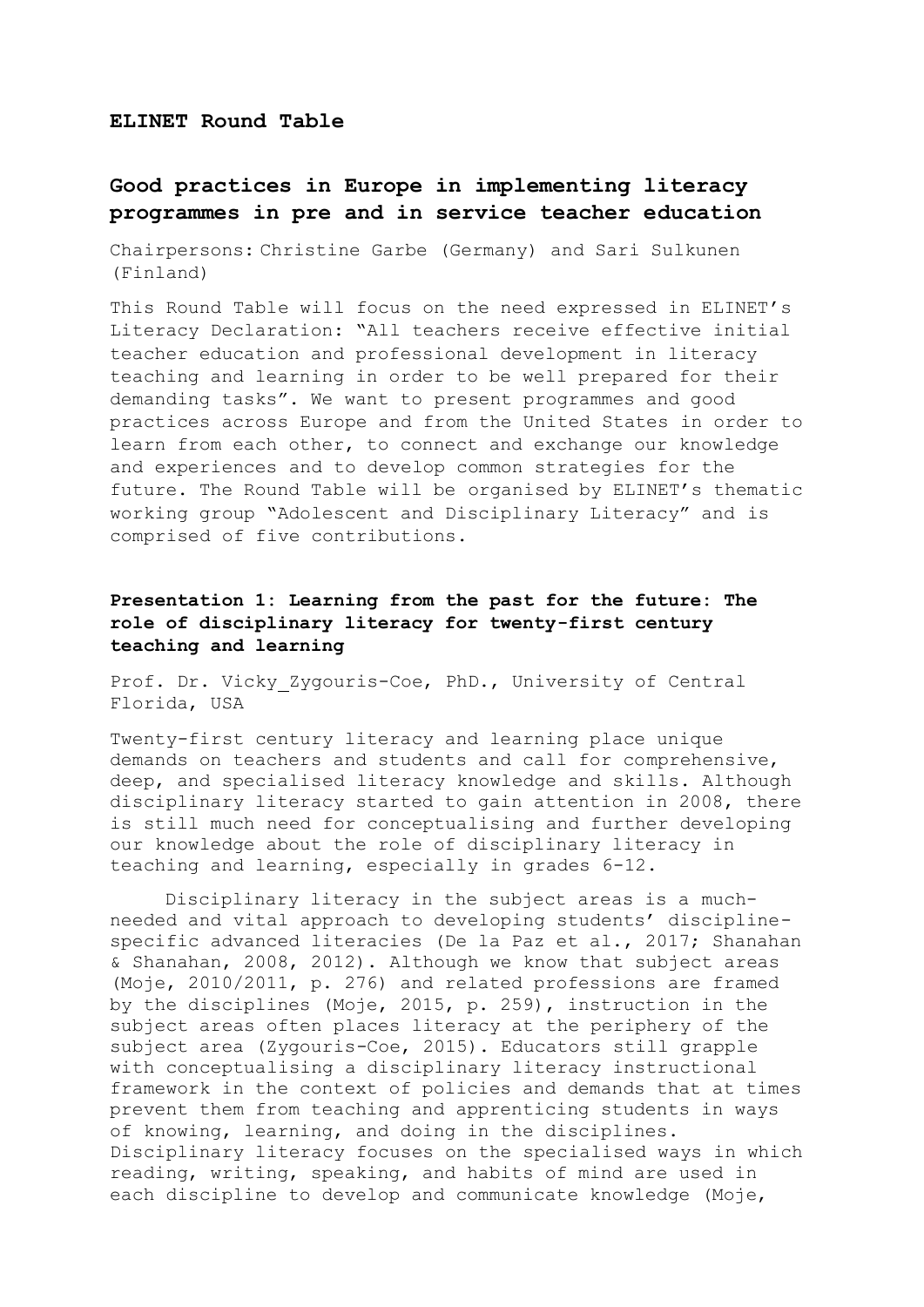#### **ELINET Round Table**

# **Good practices in Europe in implementing literacy programmes in pre and in service teacher education**

Chairpersons: Christine Garbe (Germany) and Sari Sulkunen (Finland)

This Round Table will focus on the need expressed in ELINET's Literacy Declaration: "All teachers receive effective initial teacher education and professional development in literacy teaching and learning in order to be well prepared for their demanding tasks". We want to present programmes and good practices across Europe and from the United States in order to learn from each other, to connect and exchange our knowledge and experiences and to develop common strategies for the future. The Round Table will be organised by ELINET's thematic working group "Adolescent and Disciplinary Literacy" and is comprised of five contributions.

### **Presentation 1: Learning from the past for the future: The role of disciplinary literacy for twenty-first century teaching and learning**

Prof. Dr. Vicky Zygouris-Coe, PhD., University of Central Florida, USA

Twenty-first century literacy and learning place unique demands on teachers and students and call for comprehensive, deep, and specialised literacy knowledge and skills. Although disciplinary literacy started to gain attention in 2008, there is still much need for conceptualising and further developing our knowledge about the role of disciplinary literacy in teaching and learning, especially in grades 6-12.

Disciplinary literacy in the subject areas is a muchneeded and vital approach to developing students' disciplinespecific advanced literacies (De la Paz et al., 2017; Shanahan & Shanahan, 2008, 2012). Although we know that subject areas (Moje, 2010/2011, p. 276) and related professions are framed by the disciplines (Moje, 2015, p. 259), instruction in the subject areas often places literacy at the periphery of the subject area (Zygouris-Coe, 2015). Educators still grapple with conceptualising a disciplinary literacy instructional framework in the context of policies and demands that at times prevent them from teaching and apprenticing students in ways of knowing, learning, and doing in the disciplines. Disciplinary literacy focuses on the specialised ways in which reading, writing, speaking, and habits of mind are used in each discipline to develop and communicate knowledge (Moje,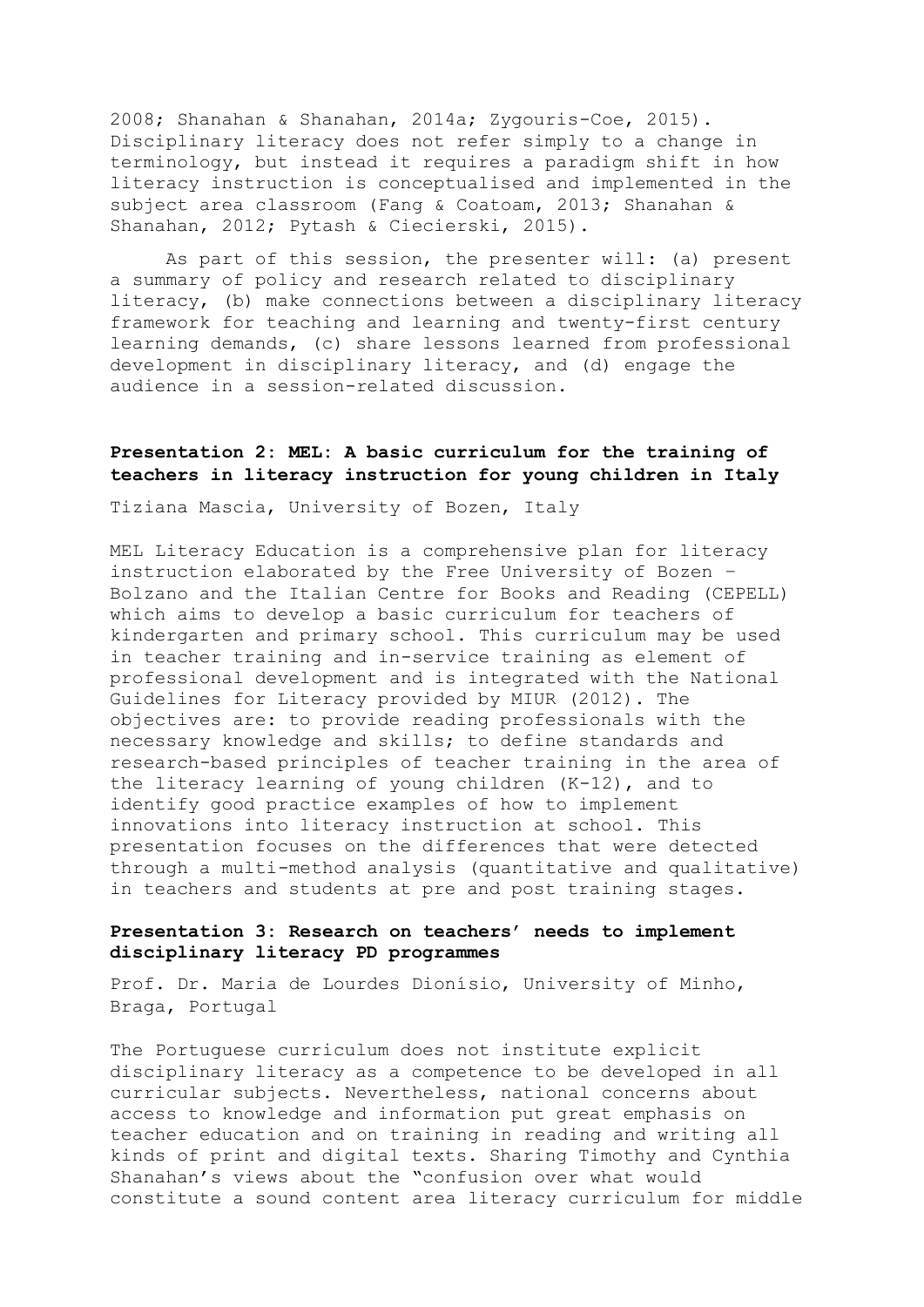2008; Shanahan & Shanahan, 2014a; Zygouris-Coe, 2015). Disciplinary literacy does not refer simply to a change in terminology, but instead it requires a paradigm shift in how literacy instruction is conceptualised and implemented in the subject area classroom (Fang & Coatoam, 2013; Shanahan & Shanahan, 2012; Pytash & Ciecierski, 2015).

As part of this session, the presenter will: (a) present a summary of policy and research related to disciplinary literacy, (b) make connections between a disciplinary literacy framework for teaching and learning and twenty-first century learning demands, (c) share lessons learned from professional development in disciplinary literacy, and (d) engage the audience in a session-related discussion.

### **Presentation 2: MEL: A basic curriculum for the training of teachers in literacy instruction for young children in Italy**

Tiziana Mascia, University of Bozen, Italy

MEL Literacy Education is a comprehensive plan for literacy instruction elaborated by the Free University of Bozen – Bolzano and the Italian Centre for Books and Reading (CEPELL) which aims to develop a basic curriculum for teachers of kindergarten and primary school. This curriculum may be used in teacher training and in-service training as element of professional development and is integrated with the National Guidelines for Literacy provided by MIUR (2012). The objectives are: to provide reading professionals with the necessary knowledge and skills; to define standards and research-based principles of teacher training in the area of the literacy learning of young children (K-12), and to identify good practice examples of how to implement innovations into literacy instruction at school. This presentation focuses on the differences that were detected through a multi-method analysis (quantitative and qualitative) in teachers and students at pre and post training stages.

#### **Presentation 3: Research on teachers' needs to implement disciplinary literacy PD programmes**

Prof. Dr. Maria de Lourdes Dionísio, University of Minho, Braga, Portugal

The Portuguese curriculum does not institute explicit disciplinary literacy as a competence to be developed in all curricular subjects. Nevertheless, national concerns about access to knowledge and information put great emphasis on teacher education and on training in reading and writing all kinds of print and digital texts. Sharing Timothy and Cynthia Shanahan's views about the "confusion over what would constitute a sound content area literacy curriculum for middle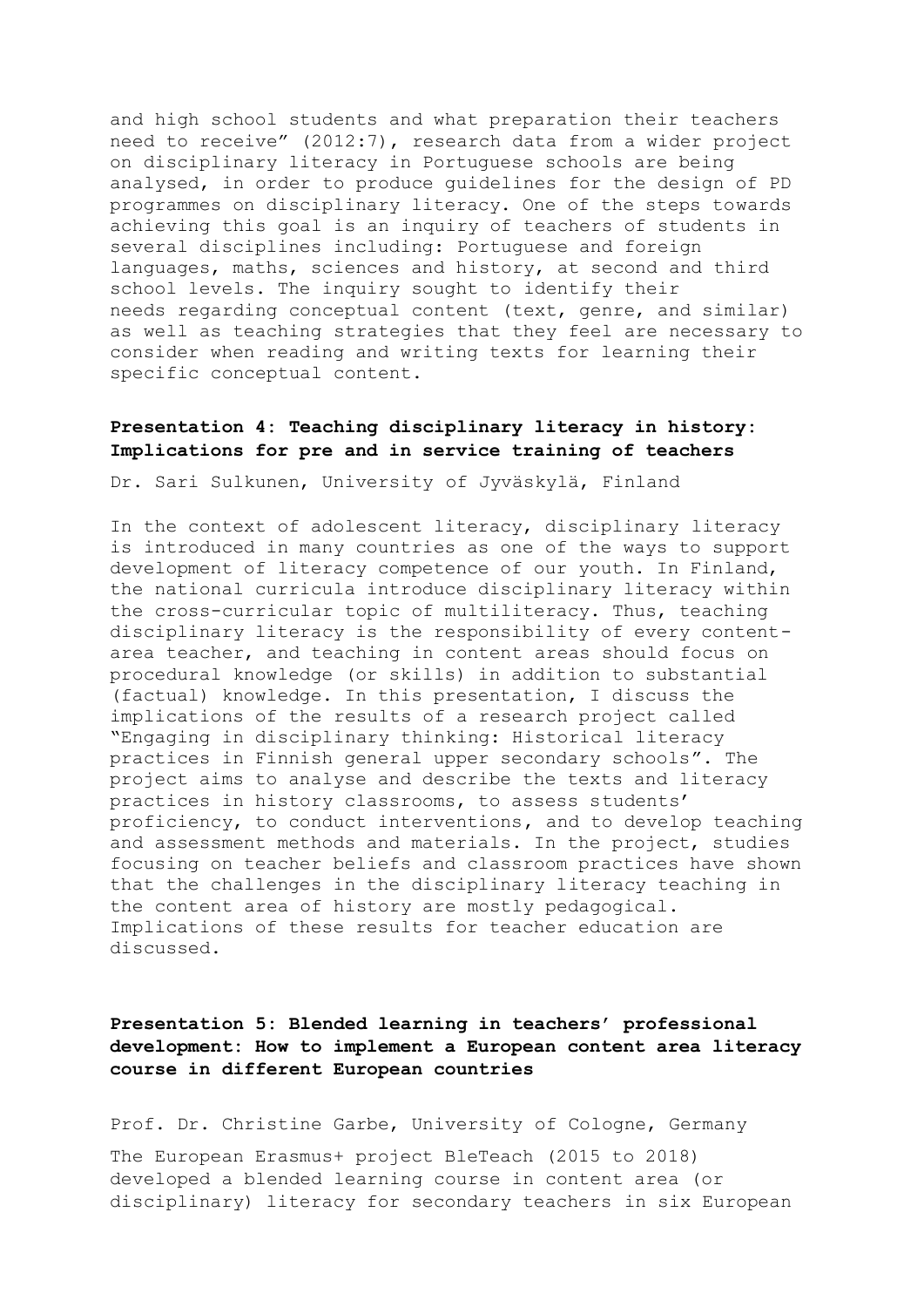and high school students and what preparation their teachers need to receive" (2012:7), research data from a wider project on disciplinary literacy in Portuguese schools are being analysed, in order to produce guidelines for the design of PD programmes on disciplinary literacy. One of the steps towards achieving this goal is an inquiry of teachers of students in several disciplines including: Portuguese and foreign languages, maths, sciences and history, at second and third school levels. The inquiry sought to identify their needs regarding conceptual content (text, genre, and similar) as well as teaching strategies that they feel are necessary to consider when reading and writing texts for learning their specific conceptual content.

#### **Presentation 4: Teaching disciplinary literacy in history: Implications for pre and in service training of teachers**

Dr. Sari Sulkunen, University of Jyväskylä, Finland

In the context of adolescent literacy, disciplinary literacy is introduced in many countries as one of the ways to support development of literacy competence of our youth. In Finland, the national curricula introduce disciplinary literacy within the cross-curricular topic of multiliteracy. Thus, teaching disciplinary literacy is the responsibility of every contentarea teacher, and teaching in content areas should focus on procedural knowledge (or skills) in addition to substantial (factual) knowledge. In this presentation, I discuss the implications of the results of a research project called "Engaging in disciplinary thinking: Historical literacy practices in Finnish general upper secondary schools". The project aims to analyse and describe the texts and literacy practices in history classrooms, to assess students' proficiency, to conduct interventions, and to develop teaching and assessment methods and materials. In the project, studies focusing on teacher beliefs and classroom practices have shown that the challenges in the disciplinary literacy teaching in the content area of history are mostly pedagogical. Implications of these results for teacher education are discussed.

## **Presentation 5: Blended learning in teachers' professional development: How to implement a European content area literacy course in different European countries**

Prof. Dr. Christine Garbe, University of Cologne, Germany

The European Erasmus+ project BleTeach (2015 to 2018) developed a blended learning course in content area (or disciplinary) literacy for secondary teachers in six European